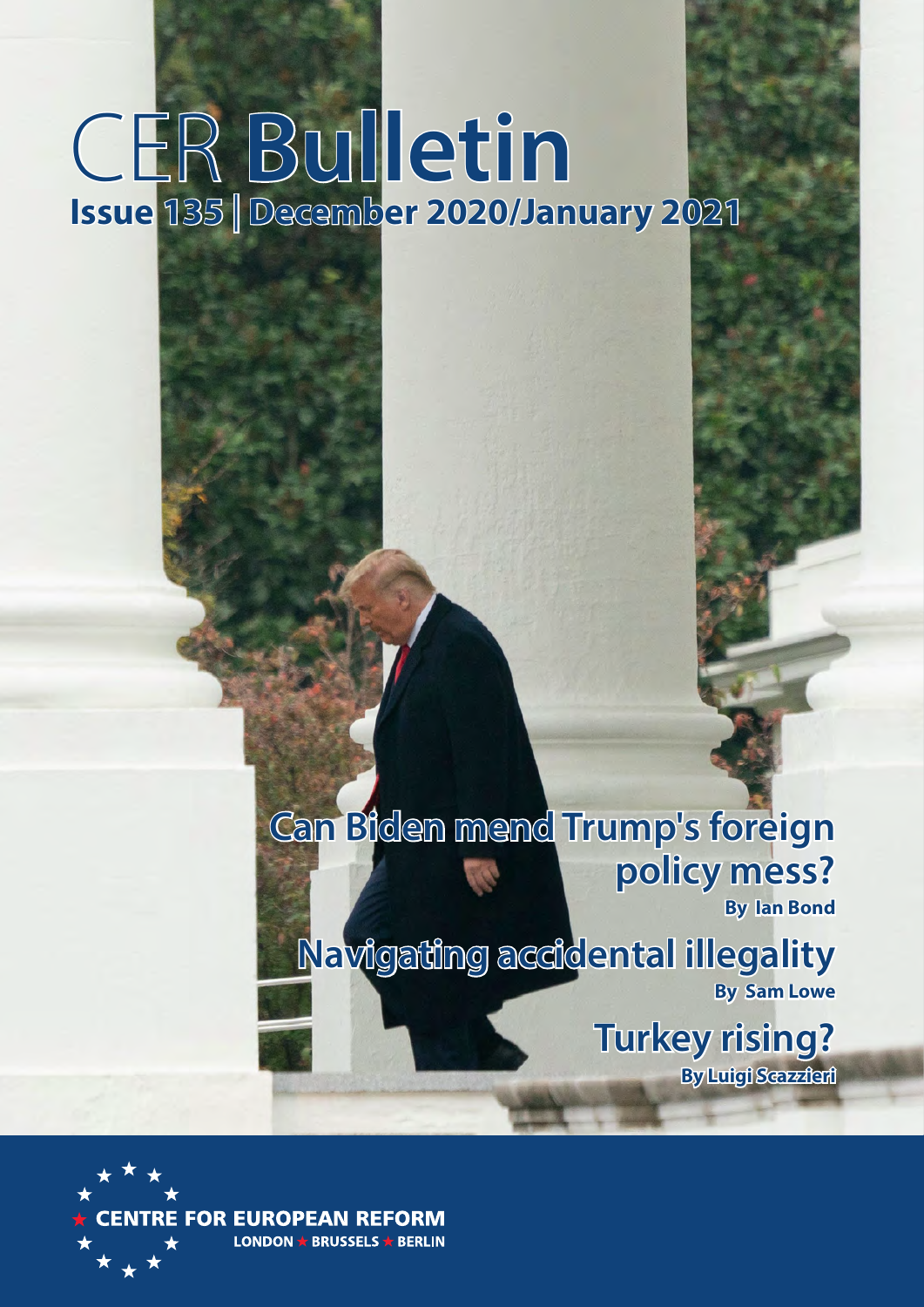# CER **Bulletin Issue 135** | **December 2020/January 2021**

**Can Biden mend Trump's foreign policy mess? By Ian Bond**

**Navigating accidental illegality By Sam Lowe**

> **Turkey rising? By Luigi Scazzieri**

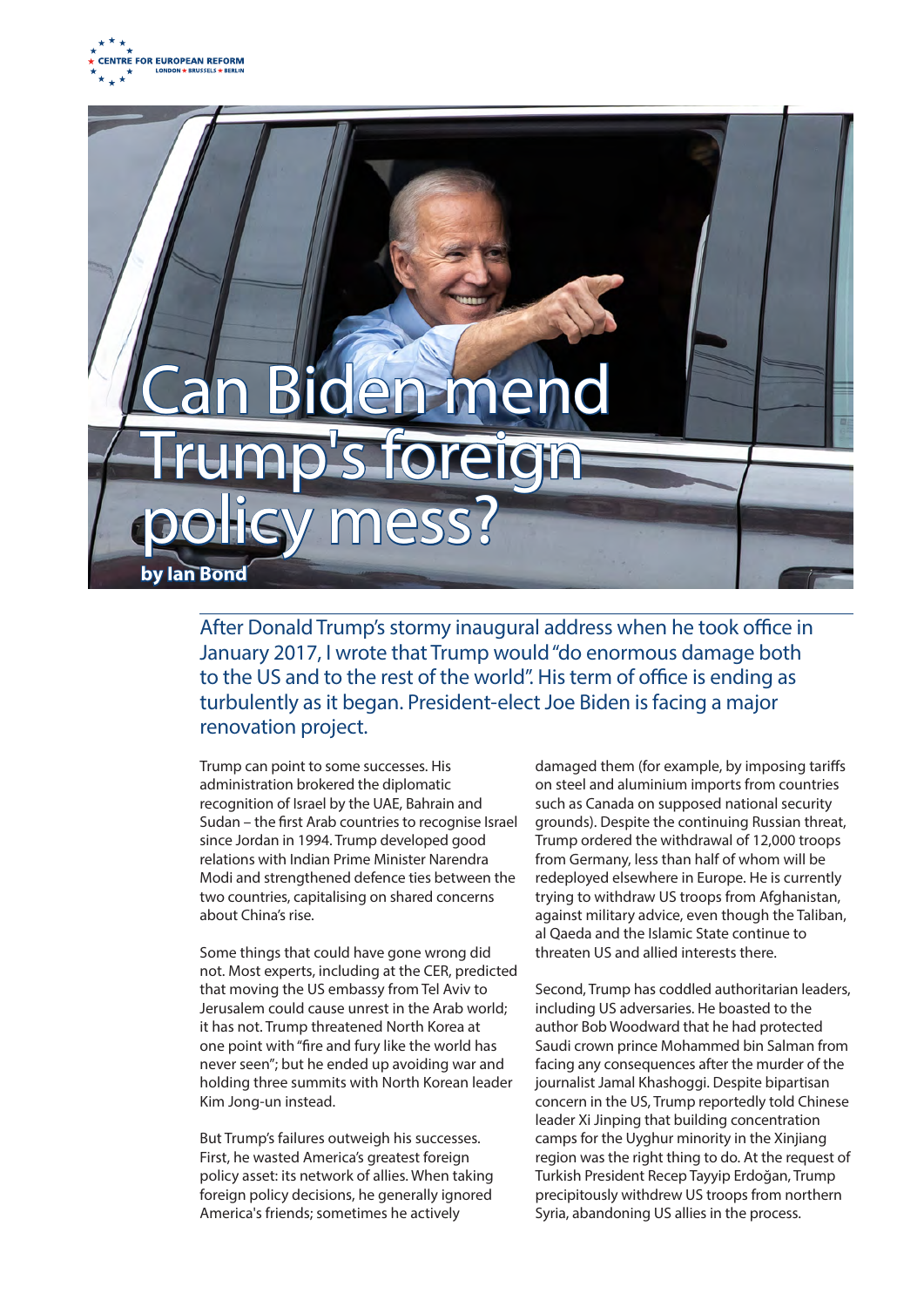



After Donald Trump's stormy inaugural address when he took office in January 2017, I wrote that Trump would "do enormous damage both to the US and to the rest of the world". His term of office is ending as turbulently as it began. President-elect Joe Biden is facing a major renovation project.

Trump can point to some successes. His administration brokered the diplomatic recognition of Israel by the UAE, Bahrain and Sudan – the first Arab countries to recognise Israel since Jordan in 1994. Trump developed good relations with Indian Prime Minister Narendra Modi and strengthened defence ties between the two countries, capitalising on shared concerns about China's rise.

Some things that could have gone wrong did not. Most experts, including at the CER, predicted that moving the US embassy from Tel Aviv to Jerusalem could cause unrest in the Arab world; it has not. Trump threatened North Korea at one point with "fire and fury like the world has never seen"; but he ended up avoiding war and holding three summits with North Korean leader Kim Jong-un instead.

But Trump's failures outweigh his successes. First, he wasted America's greatest foreign policy asset: its network of allies. When taking foreign policy decisions, he generally ignored America's friends; sometimes he actively

damaged them (for example, by imposing tariffs on steel and aluminium imports from countries such as Canada on supposed national security grounds). Despite the continuing Russian threat, Trump ordered the withdrawal of 12,000 troops from Germany, less than half of whom will be redeployed elsewhere in Europe. He is currently trying to withdraw US troops from Afghanistan, against military advice, even though the Taliban, al Qaeda and the Islamic State continue to threaten US and allied interests there.

Second, Trump has coddled authoritarian leaders, including US adversaries. He boasted to the author Bob Woodward that he had protected Saudi crown prince Mohammed bin Salman from facing any consequences after the murder of the journalist Jamal Khashoggi. Despite bipartisan concern in the US, Trump reportedly told Chinese leader Xi Jinping that building concentration camps for the Uyghur minority in the Xinjiang region was the right thing to do. At the request of Turkish President Recep Tayyip Erdoğan, Trump precipitously withdrew US troops from northern Syria, abandoning US allies in the process.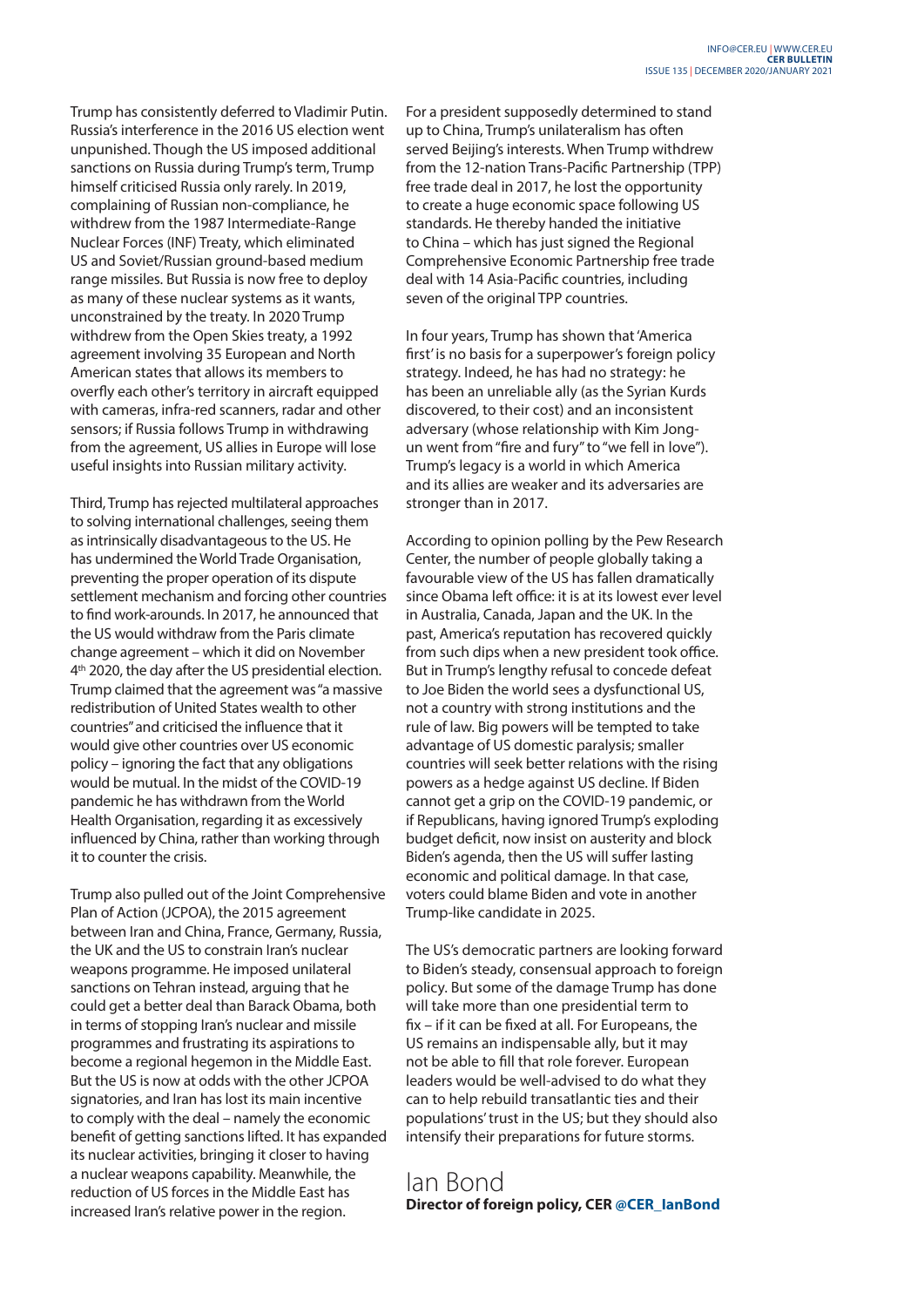Trump has consistently deferred to Vladimir Putin. Russia's interference in the 2016 US election went unpunished. Though the US imposed additional sanctions on Russia during Trump's term, Trump himself criticised Russia only rarely. In 2019, complaining of Russian non-compliance, he withdrew from the 1987 Intermediate-Range Nuclear Forces (INF) Treaty, which eliminated US and Soviet/Russian ground-based medium range missiles. But Russia is now free to deploy as many of these nuclear systems as it wants, unconstrained by the treaty. In 2020 Trump withdrew from the Open Skies treaty, a 1992 agreement involving 35 European and North American states that allows its members to overfly each other's territory in aircraft equipped with cameras, infra-red scanners, radar and other sensors; if Russia follows Trump in withdrawing from the agreement, US allies in Europe will lose useful insights into Russian military activity.

Third, Trump has rejected multilateral approaches to solving international challenges, seeing them as intrinsically disadvantageous to the US. He has undermined the World Trade Organisation, preventing the proper operation of its dispute settlement mechanism and forcing other countries to find work-arounds. In 2017, he announced that the US would withdraw from the Paris climate change agreement – which it did on November 4<sup>th</sup> 2020, the day after the US presidential election. Trump claimed that the agreement was "a massive redistribution of United States wealth to other countries" and criticised the influence that it would give other countries over US economic policy – ignoring the fact that any obligations would be mutual. In the midst of the COVID-19 pandemic he has withdrawn from the World Health Organisation, regarding it as excessively influenced by China, rather than working through it to counter the crisis.

Trump also pulled out of the Joint Comprehensive Plan of Action (JCPOA), the 2015 agreement between Iran and China, France, Germany, Russia, the UK and the US to constrain Iran's nuclear weapons programme. He imposed unilateral sanctions on Tehran instead, arguing that he could get a better deal than Barack Obama, both in terms of stopping Iran's nuclear and missile programmes and frustrating its aspirations to become a regional hegemon in the Middle East. But the US is now at odds with the other JCPOA signatories, and Iran has lost its main incentive to comply with the deal – namely the economic benefit of getting sanctions lifted. It has expanded its nuclear activities, bringing it closer to having a nuclear weapons capability. Meanwhile, the reduction of US forces in the Middle East has increased Iran's relative power in the region.

For a president supposedly determined to stand up to China, Trump's unilateralism has often served Beijing's interests. When Trump withdrew from the 12-nation Trans-Pacific Partnership (TPP) free trade deal in 2017, he lost the opportunity to create a huge economic space following US standards. He thereby handed the initiative to China – which has just signed the Regional Comprehensive Economic Partnership free trade deal with 14 Asia-Pacific countries, including seven of the original TPP countries.

In four years, Trump has shown that 'America first' is no basis for a superpower's foreign policy strategy. Indeed, he has had no strategy: he has been an unreliable ally (as the Syrian Kurds discovered, to their cost) and an inconsistent adversary (whose relationship with Kim Jongun went from "fire and fury" to "we fell in love"). Trump's legacy is a world in which America and its allies are weaker and its adversaries are stronger than in 2017.

According to opinion polling by the Pew Research Center, the number of people globally taking a favourable view of the US has fallen dramatically since Obama left office: it is at its lowest ever level in Australia, Canada, Japan and the UK. In the past, America's reputation has recovered quickly from such dips when a new president took office. But in Trump's lengthy refusal to concede defeat to Joe Biden the world sees a dysfunctional US, not a country with strong institutions and the rule of law. Big powers will be tempted to take advantage of US domestic paralysis; smaller countries will seek better relations with the rising powers as a hedge against US decline. If Biden cannot get a grip on the COVID-19 pandemic, or if Republicans, having ignored Trump's exploding budget deficit, now insist on austerity and block Biden's agenda, then the US will suffer lasting economic and political damage. In that case, voters could blame Biden and vote in another Trump-like candidate in 2025.

The US's democratic partners are looking forward to Biden's steady, consensual approach to foreign policy. But some of the damage Trump has done will take more than one presidential term to fix – if it can be fixed at all. For Europeans, the US remains an indispensable ally, but it may not be able to fill that role forever. European leaders would be well-advised to do what they can to help rebuild transatlantic ties and their populations' trust in the US; but they should also intensify their preparations for future storms.

# Ian Bond **Director of foreign policy, CER @CER\_IanBond**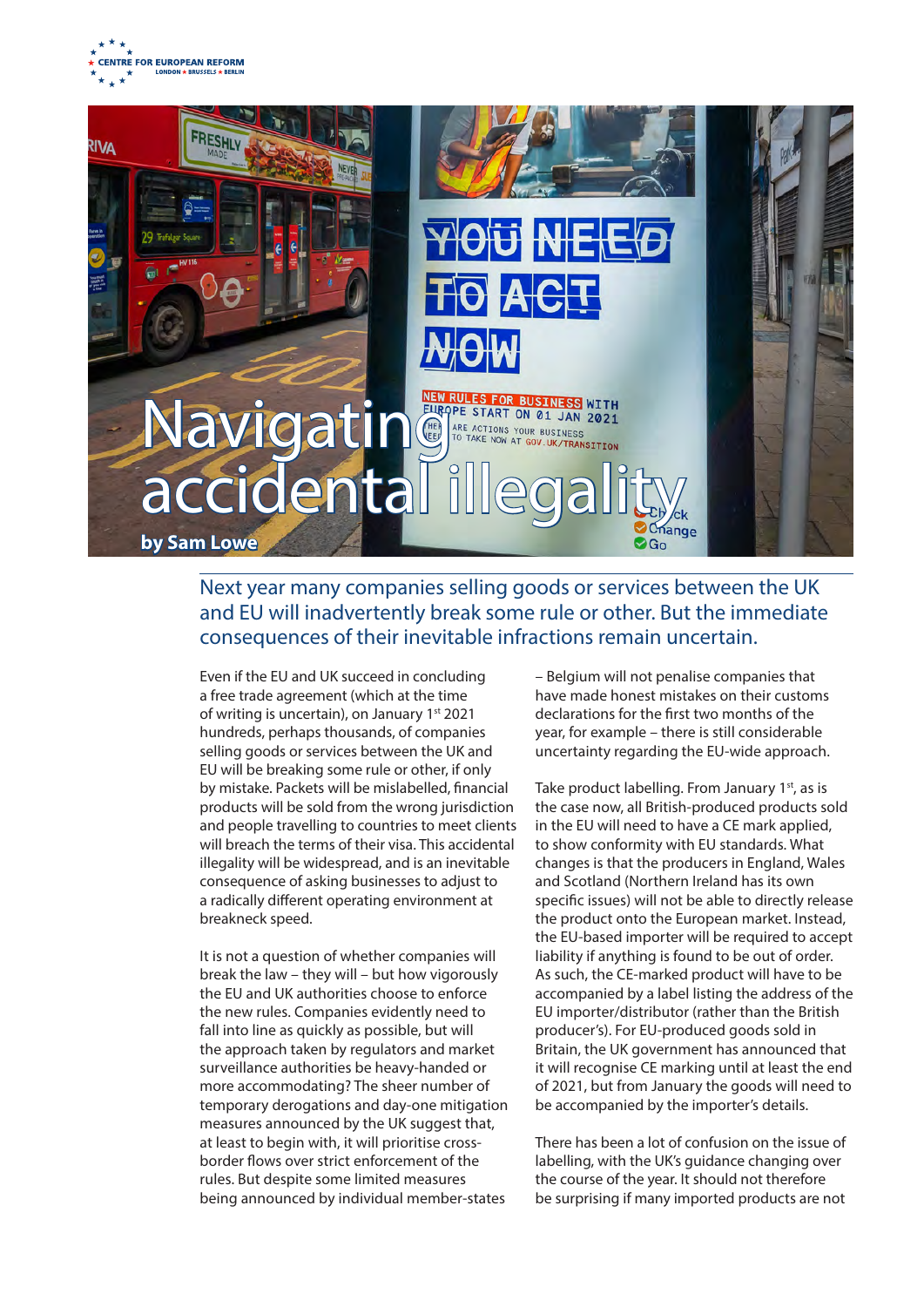



# Next year many companies selling goods or services between the UK and EU will inadvertently break some rule or other. But the immediate consequences of their inevitable infractions remain uncertain.

Even if the EU and UK succeed in concluding a free trade agreement (which at the time of writing is uncertain), on January 1<sup>st</sup> 2021 hundreds, perhaps thousands, of companies selling goods or services between the UK and EU will be breaking some rule or other, if only by mistake. Packets will be mislabelled, financial products will be sold from the wrong jurisdiction and people travelling to countries to meet clients will breach the terms of their visa. This accidental illegality will be widespread, and is an inevitable consequence of asking businesses to adjust to a radically different operating environment at breakneck speed.

It is not a question of whether companies will break the law – they will – but how vigorously the EU and UK authorities choose to enforce the new rules. Companies evidently need to fall into line as quickly as possible, but will the approach taken by regulators and market surveillance authorities be heavy-handed or more accommodating? The sheer number of temporary derogations and day-one mitigation measures announced by the UK suggest that, at least to begin with, it will prioritise crossborder flows over strict enforcement of the rules. But despite some limited measures being announced by individual member-states

– Belgium will not penalise companies that have made honest mistakes on their customs declarations for the first two months of the year, for example – there is still considerable uncertainty regarding the EU-wide approach.

Take product labelling. From January 1<sup>st</sup>, as is the case now, all British-produced products sold in the EU will need to have a CE mark applied, to show conformity with EU standards. What changes is that the producers in England, Wales and Scotland (Northern Ireland has its own specific issues) will not be able to directly release the product onto the European market. Instead, the EU-based importer will be required to accept liability if anything is found to be out of order. As such, the CE-marked product will have to be accompanied by a label listing the address of the EU importer/distributor (rather than the British producer's). For EU-produced goods sold in Britain, the UK government has announced that it will recognise CE marking until at least the end of 2021, but from January the goods will need to be accompanied by the importer's details.

There has been a lot of confusion on the issue of labelling, with the UK's guidance changing over the course of the year. It should not therefore be surprising if many imported products are not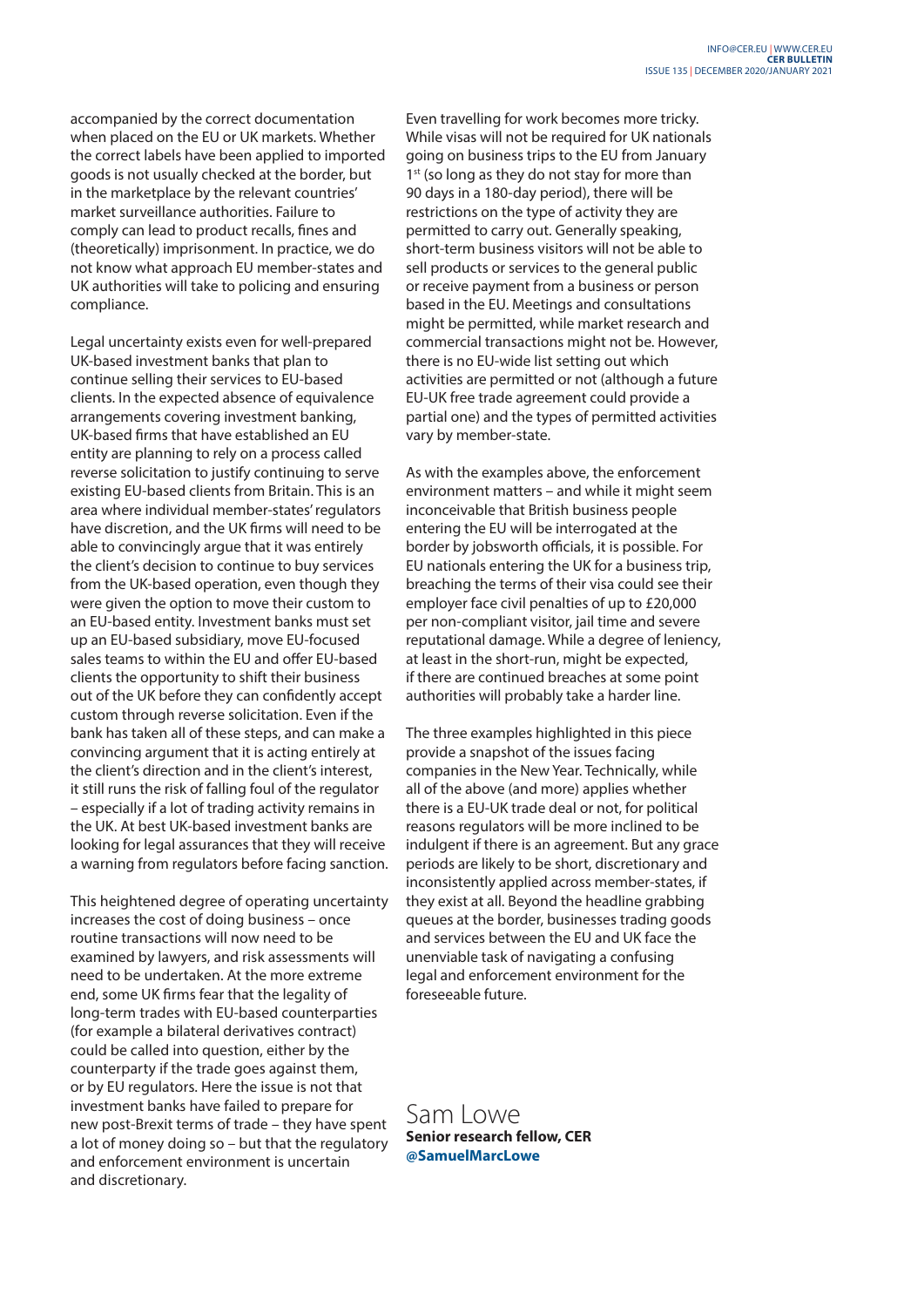accompanied by the correct documentation when placed on the EU or UK markets. Whether the correct labels have been applied to imported goods is not usually checked at the border, but in the marketplace by the relevant countries' market surveillance authorities. Failure to comply can lead to product recalls, fines and (theoretically) imprisonment. In practice, we do not know what approach EU member-states and UK authorities will take to policing and ensuring compliance.

Legal uncertainty exists even for well-prepared UK-based investment banks that plan to continue selling their services to EU-based clients. In the expected absence of equivalence arrangements covering investment banking, UK-based firms that have established an EU entity are planning to rely on a process called reverse solicitation to justify continuing to serve existing EU-based clients from Britain. This is an area where individual member-states' regulators have discretion, and the UK firms will need to be able to convincingly argue that it was entirely the client's decision to continue to buy services from the UK-based operation, even though they were given the option to move their custom to an EU-based entity. Investment banks must set up an EU-based subsidiary, move EU-focused sales teams to within the EU and offer EU-based clients the opportunity to shift their business out of the UK before they can confidently accept custom through reverse solicitation. Even if the bank has taken all of these steps, and can make a convincing argument that it is acting entirely at the client's direction and in the client's interest, it still runs the risk of falling foul of the regulator – especially if a lot of trading activity remains in the UK. At best UK-based investment banks are looking for legal assurances that they will receive a warning from regulators before facing sanction.

This heightened degree of operating uncertainty increases the cost of doing business – once routine transactions will now need to be examined by lawyers, and risk assessments will need to be undertaken. At the more extreme end, some UK firms fear that the legality of long-term trades with EU-based counterparties (for example a bilateral derivatives contract) could be called into question, either by the counterparty if the trade goes against them, or by EU regulators. Here the issue is not that investment banks have failed to prepare for new post-Brexit terms of trade – they have spent a lot of money doing so – but that the regulatory and enforcement environment is uncertain and discretionary.

Even travelling for work becomes more tricky. While visas will not be required for UK nationals going on business trips to the EU from January 1<sup>st</sup> (so long as they do not stay for more than 90 days in a 180-day period), there will be restrictions on the type of activity they are permitted to carry out. Generally speaking, short-term business visitors will not be able to sell products or services to the general public or receive payment from a business or person based in the EU. Meetings and consultations might be permitted, while market research and commercial transactions might not be. However, there is no EU-wide list setting out which activities are permitted or not (although a future EU-UK free trade agreement could provide a partial one) and the types of permitted activities vary by member-state.

As with the examples above, the enforcement environment matters – and while it might seem inconceivable that British business people entering the EU will be interrogated at the border by jobsworth officials, it is possible. For EU nationals entering the UK for a business trip, breaching the terms of their visa could see their employer face civil penalties of up to £20,000 per non-compliant visitor, jail time and severe reputational damage. While a degree of leniency, at least in the short-run, might be expected, if there are continued breaches at some point authorities will probably take a harder line.

The three examples highlighted in this piece provide a snapshot of the issues facing companies in the New Year. Technically, while all of the above (and more) applies whether there is a EU-UK trade deal or not, for political reasons regulators will be more inclined to be indulgent if there is an agreement. But any grace periods are likely to be short, discretionary and inconsistently applied across member-states, if they exist at all. Beyond the headline grabbing queues at the border, businesses trading goods and services between the EU and UK face the unenviable task of navigating a confusing legal and enforcement environment for the foreseeable future.

Sam Lowe **Senior research fellow, CER @SamuelMarcLowe**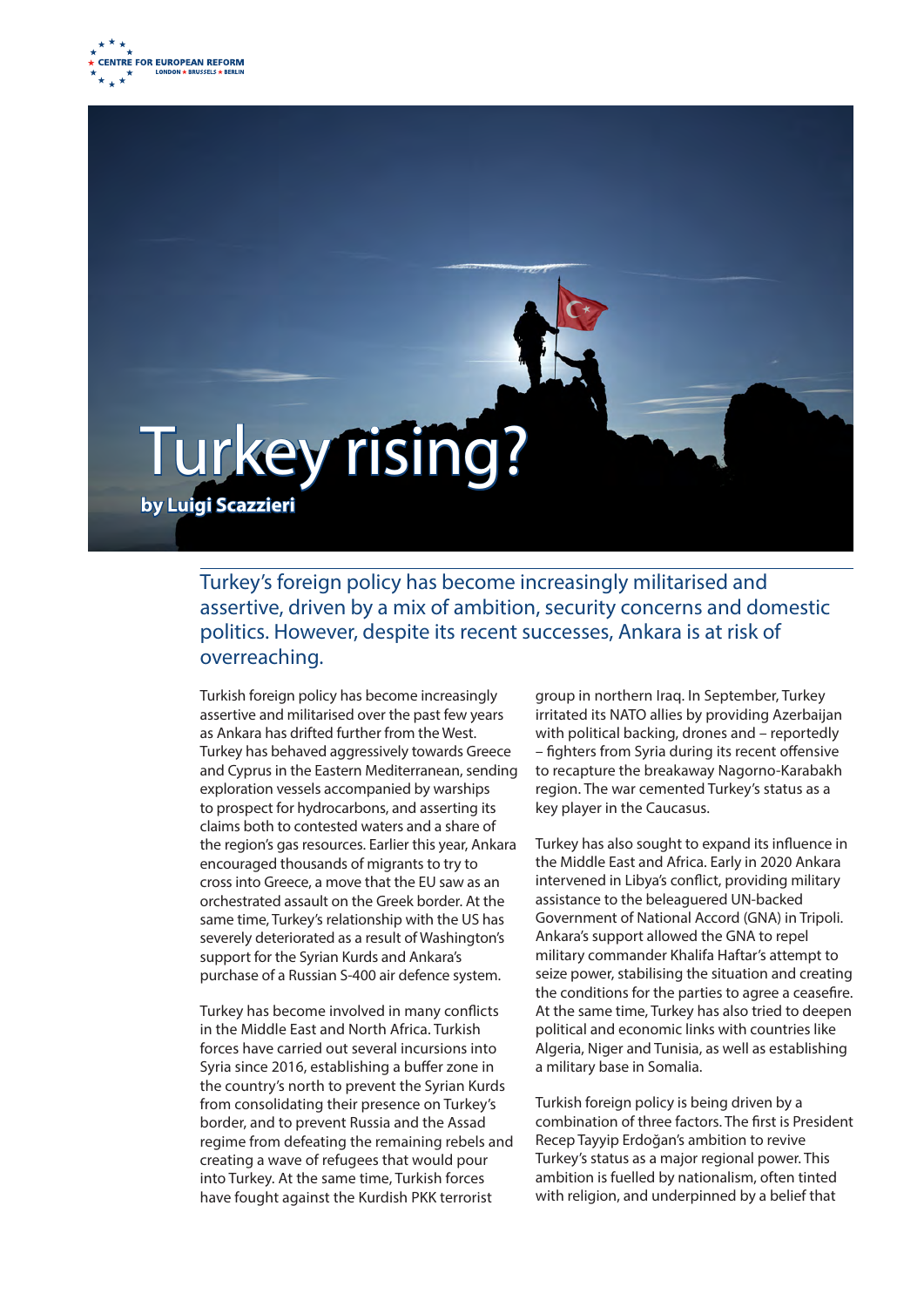



# Turkey's foreign policy has become increasingly militarised and assertive, driven by a mix of ambition, security concerns and domestic politics. However, despite its recent successes, Ankara is at risk of overreaching.

Turkish foreign policy has become increasingly assertive and militarised over the past few years as Ankara has drifted further from the West. Turkey has behaved aggressively towards Greece and Cyprus in the Eastern Mediterranean, sending exploration vessels accompanied by warships to prospect for hydrocarbons, and asserting its claims both to contested waters and a share of the region's gas resources. Earlier this year, Ankara encouraged thousands of migrants to try to cross into Greece, a move that the EU saw as an orchestrated assault on the Greek border. At the same time, Turkey's relationship with the US has severely deteriorated as a result of Washington's support for the Syrian Kurds and Ankara's purchase of a Russian S-400 air defence system.

Turkey has become involved in many conflicts in the Middle East and North Africa. Turkish forces have carried out several incursions into Syria since 2016, establishing a buffer zone in the country's north to prevent the Syrian Kurds from consolidating their presence on Turkey's border, and to prevent Russia and the Assad regime from defeating the remaining rebels and creating a wave of refugees that would pour into Turkey. At the same time, Turkish forces have fought against the Kurdish PKK terrorist

group in northern Iraq. In September, Turkey irritated its NATO allies by providing Azerbaijan with political backing, drones and – reportedly – fighters from Syria during its recent offensive to recapture the breakaway Nagorno-Karabakh region. The war cemented Turkey's status as a key player in the Caucasus.

Turkey has also sought to expand its influence in the Middle East and Africa. Early in 2020 Ankara intervened in Libya's conflict, providing military assistance to the beleaguered UN-backed Government of National Accord (GNA) in Tripoli. Ankara's support allowed the GNA to repel military commander Khalifa Haftar's attempt to seize power, stabilising the situation and creating the conditions for the parties to agree a ceasefire. At the same time, Turkey has also tried to deepen political and economic links with countries like Algeria, Niger and Tunisia, as well as establishing a military base in Somalia.

Turkish foreign policy is being driven by a combination of three factors. The first is President Recep Tayyip Erdoğan's ambition to revive Turkey's status as a major regional power. This ambition is fuelled by nationalism, often tinted with religion, and underpinned by a belief that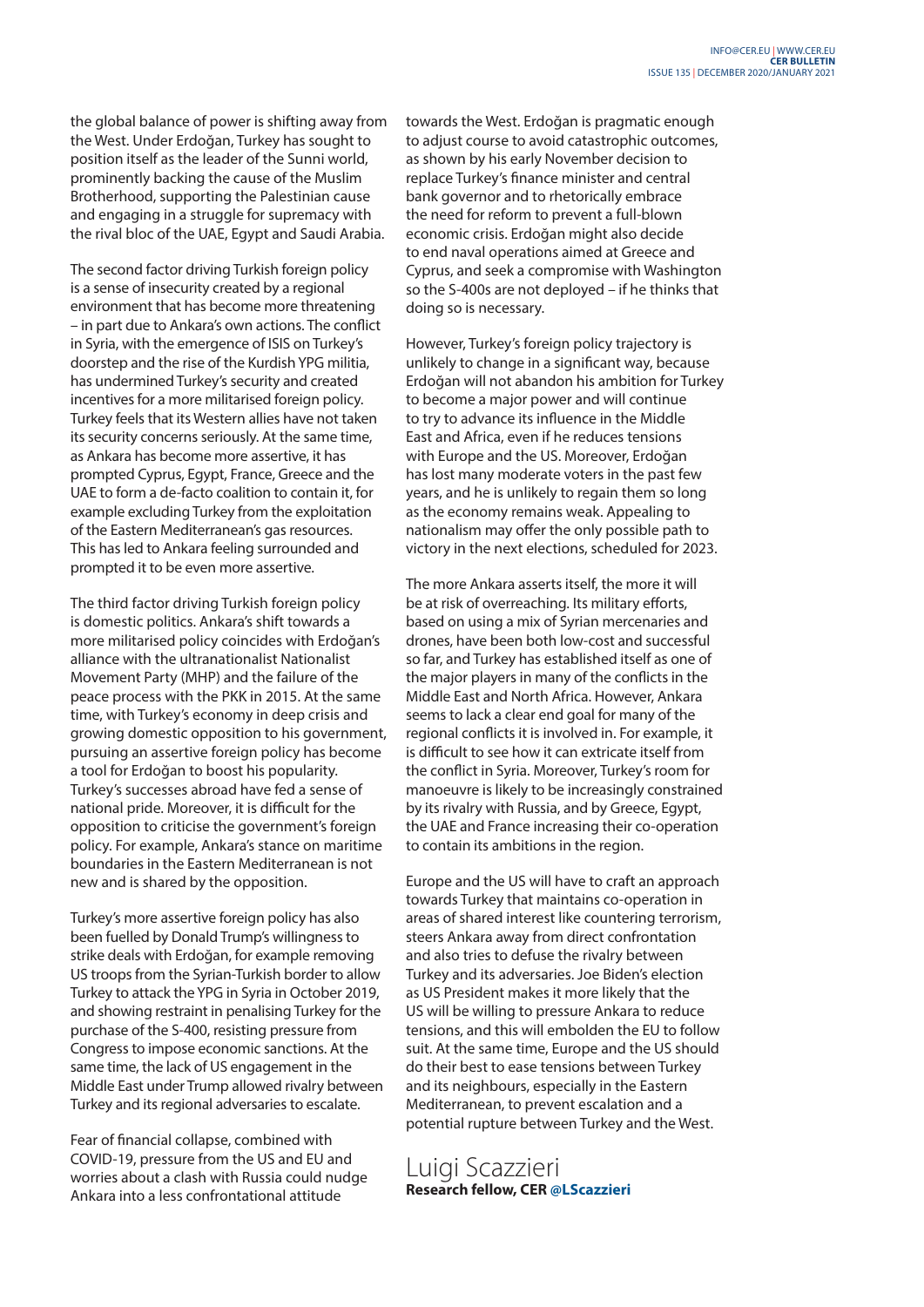the global balance of power is shifting away from the West. Under Erdoğan, Turkey has sought to position itself as the leader of the Sunni world, prominently backing the cause of the Muslim Brotherhood, supporting the Palestinian cause and engaging in a struggle for supremacy with the rival bloc of the UAE, Egypt and Saudi Arabia.

The second factor driving Turkish foreign policy is a sense of insecurity created by a regional environment that has become more threatening – in part due to Ankara's own actions. The conflict in Syria, with the emergence of ISIS on Turkey's doorstep and the rise of the Kurdish YPG militia, has undermined Turkey's security and created incentives for a more militarised foreign policy. Turkey feels that its Western allies have not taken its security concerns seriously. At the same time, as Ankara has become more assertive, it has prompted Cyprus, Egypt, France, Greece and the UAE to form a de-facto coalition to contain it, for example excluding Turkey from the exploitation of the Eastern Mediterranean's gas resources. This has led to Ankara feeling surrounded and prompted it to be even more assertive.

The third factor driving Turkish foreign policy is domestic politics. Ankara's shift towards a more militarised policy coincides with Erdoğan's alliance with the ultranationalist Nationalist Movement Party (MHP) and the failure of the peace process with the PKK in 2015. At the same time, with Turkey's economy in deep crisis and growing domestic opposition to his government, pursuing an assertive foreign policy has become a tool for Erdoğan to boost his popularity. Turkey's successes abroad have fed a sense of national pride. Moreover, it is difficult for the opposition to criticise the government's foreign policy. For example, Ankara's stance on maritime boundaries in the Eastern Mediterranean is not new and is shared by the opposition.

Turkey's more assertive foreign policy has also been fuelled by Donald Trump's willingness to strike deals with Erdoğan, for example removing US troops from the Syrian-Turkish border to allow Turkey to attack the YPG in Syria in October 2019, and showing restraint in penalising Turkey for the purchase of the S-400, resisting pressure from Congress to impose economic sanctions. At the same time, the lack of US engagement in the Middle East under Trump allowed rivalry between Turkey and its regional adversaries to escalate.

Fear of financial collapse, combined with COVID-19, pressure from the US and EU and worries about a clash with Russia could nudge Ankara into a less confrontational attitude

towards the West. Erdoğan is pragmatic enough to adjust course to avoid catastrophic outcomes, as shown by his early November decision to replace Turkey's finance minister and central bank governor and to rhetorically embrace the need for reform to prevent a full-blown economic crisis. Erdoğan might also decide to end naval operations aimed at Greece and Cyprus, and seek a compromise with Washington so the S-400s are not deployed – if he thinks that doing so is necessary.

However, Turkey's foreign policy trajectory is unlikely to change in a significant way, because Erdoğan will not abandon his ambition for Turkey to become a major power and will continue to try to advance its influence in the Middle East and Africa, even if he reduces tensions with Europe and the US. Moreover, Erdoğan has lost many moderate voters in the past few years, and he is unlikely to regain them so long as the economy remains weak. Appealing to nationalism may offer the only possible path to victory in the next elections, scheduled for 2023.

The more Ankara asserts itself, the more it will be at risk of overreaching. Its military efforts, based on using a mix of Syrian mercenaries and drones, have been both low-cost and successful so far, and Turkey has established itself as one of the major players in many of the conflicts in the Middle East and North Africa. However, Ankara seems to lack a clear end goal for many of the regional conflicts it is involved in. For example, it is difficult to see how it can extricate itself from the conflict in Syria. Moreover, Turkey's room for manoeuvre is likely to be increasingly constrained by its rivalry with Russia, and by Greece, Egypt, the UAE and France increasing their co-operation to contain its ambitions in the region.

Europe and the US will have to craft an approach towards Turkey that maintains co-operation in areas of shared interest like countering terrorism, steers Ankara away from direct confrontation and also tries to defuse the rivalry between Turkey and its adversaries. Joe Biden's election as US President makes it more likely that the US will be willing to pressure Ankara to reduce tensions, and this will embolden the EU to follow suit. At the same time, Europe and the US should do their best to ease tensions between Turkey and its neighbours, especially in the Eastern Mediterranean, to prevent escalation and a potential rupture between Turkey and the West.

Luigi Scazzieri **Research fellow, CER @LScazzieri**